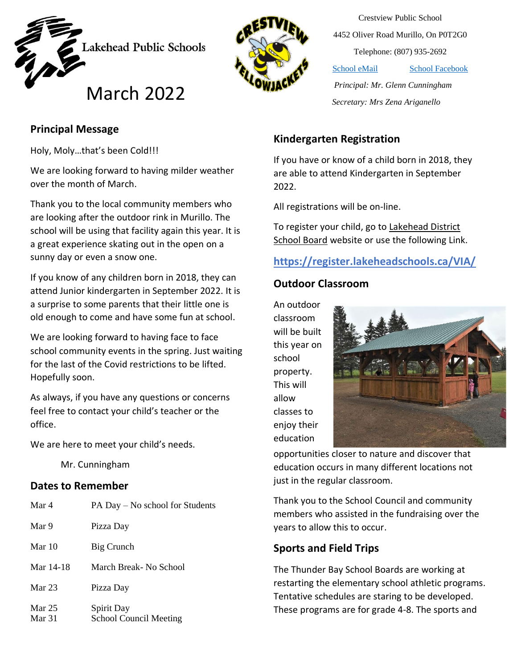



Crestview Public School 4452 Oliver Road Murillo, On P0T2G0 Telephone: (807) 935-2692

[School eMail](mailto:crestview_secretary@lakeheadschools.ca) [School Facebook](https://www.facebook.com/CrestviewSchool)

 *Principal: Mr. Glenn Cunningham* March *Secretary: Mrs Zena Ariganello* 2022

## **Principal Message**

Holy, Moly…that's been Cold!!!

We are looking forward to having milder weather over the month of March.

Thank you to the local community members who are looking after the outdoor rink in Murillo. The school will be using that facility again this year. It is a great experience skating out in the open on a sunny day or even a snow one.

If you know of any children born in 2018, they can attend Junior kindergarten in September 2022. It is a surprise to some parents that their little one is old enough to come and have some fun at school.

We are looking forward to having face to face school community events in the spring. Just waiting for the last of the Covid restrictions to be lifted. Hopefully soon.

As always, if you have any questions or concerns feel free to contact your child's teacher or the office.

We are here to meet your child's needs.

Mr. Cunningham

#### **Dates to Remember**

| Mar 4              | PA Day – No school for Students             |
|--------------------|---------------------------------------------|
| Mar 9              | Pizza Day                                   |
| Mar 10             | Big Crunch                                  |
| Mar 14-18          | March Break- No School                      |
| Mar $23$           | Pizza Day                                   |
| Mar $25$<br>Mar 31 | Spirit Day<br><b>School Council Meeting</b> |

## **Kindergarten Registration**

If you have or know of a child born in 2018, they are able to attend Kindergarten in September 2022.

All registrations will be on-line.

To register your child, go to Lakehead District [School Board](https://www.lakeheadschools.ca/) website or use the following Link.

## **<https://register.lakeheadschools.ca/VIA/>**

### **Outdoor Classroom**

An outdoor classroom will be built this year on school property. This will allow classes to enjoy their education



opportunities closer to nature and discover that education occurs in many different locations not just in the regular classroom.

Thank you to the School Council and community members who assisted in the fundraising over the years to allow this to occur.

### **Sports and Field Trips**

The Thunder Bay School Boards are working at restarting the elementary school athletic programs. Tentative schedules are staring to be developed. These programs are for grade 4-8. The sports and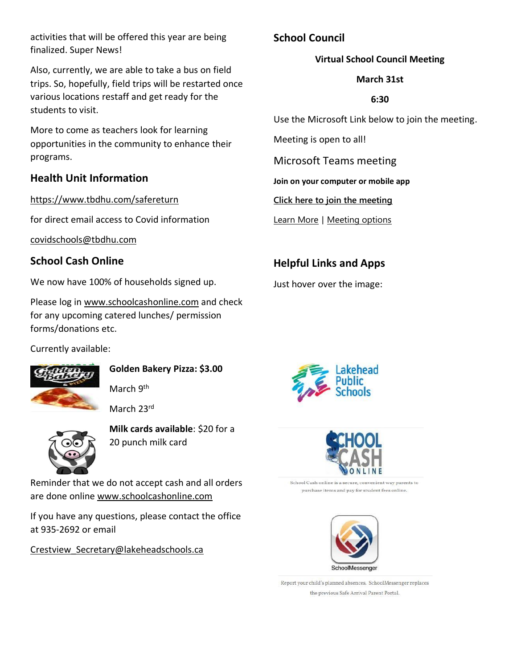activities that will be offered this year are being finalized. Super News!

Also, currently, we are able to take a bus on field trips. So, hopefully, field trips will be restarted once various locations restaff and get ready for the students to visit.

More to come as teachers look for learning opportunities in the community to enhance their programs.

### **Health Unit Information**

<https://www.tbdhu.com/safereturn>

for direct email access to Covid information

[covidschools@tbdhu.com](mailto:covidschools@tbdhu.com)

## **School Cash Online**

We now have 100% of households signed up.

Please log in [www.schoolcashonline.com](http://www.schoolcashonline.com/) and check for any upcoming catered lunches/ permission forms/donations etc.

Currently available:



**Golden Bakery Pizza: \$3.00**

March 9<sup>th</sup>

March 23rd



**Milk cards available**: \$20 for a 20 punch milk card

Reminder that we do not accept cash and all orders are done online [www.schoolcashonline.com](http://www.schoolcashonline.com/)

If you have any questions, please contact the office at 935-2692 or email

[Crestview\\_Secretary@lakeheadschools.ca](mailto:Crestview_Secretary@lakeheadschools.ca)

## **School Council**

### **Virtual School Council Meeting**

#### **March 31st**

#### **6:30**

Use the Microsoft Link below to join the meeting.

Meeting is open to all!

Microsoft Teams meeting

**Join on your computer or mobile app**

**[Click here to join the meeting](https://teams.microsoft.com/l/meetup-join/19%3ameeting_NjFiMDM2YWQtM2Q2ZS00ODYwLTljZDAtMzA0NzNjODg4YjE0%40thread.v2/0?context=%7b%22Tid%22%3a%225ef3aa77-9db1-48aa-af60-aae95d141f03%22%2c%22Oid%22%3a%22dab15e80-a621-4b20-9730-8376d1326593%22%7d)**

[Learn More](https://aka.ms/JoinTeamsMeeting) | [Meeting options](https://teams.microsoft.com/meetingOptions/?organizerId=dab15e80-a621-4b20-9730-8376d1326593&tenantId=5ef3aa77-9db1-48aa-af60-aae95d141f03&threadId=19_meeting_NjFiMDM2YWQtM2Q2ZS00ODYwLTljZDAtMzA0NzNjODg4YjE0@thread.v2&messageId=0&language=en-US)

## **Helpful Links and Apps**

Just hover over the image:





School Cash online is a secure, convenient way parents to purchase items and pay for student fees online.



Report your child's planned absences. SchoolMessenger replaces the previous Safe Arrival Parent Portal.